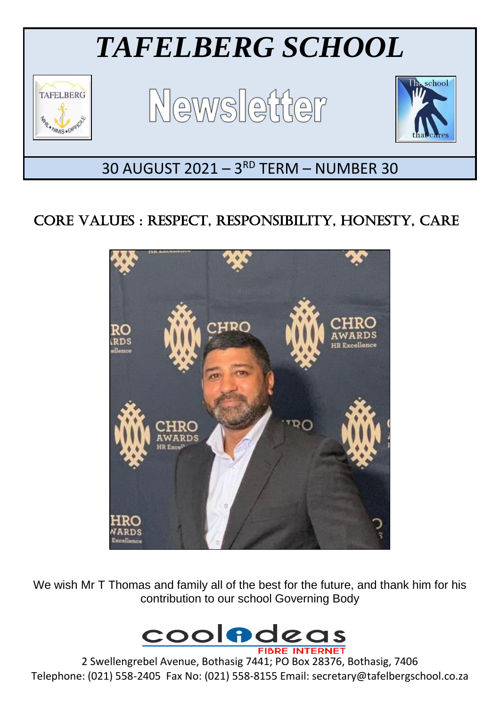

# CORE VALUES : RESPECT, RESPONSIBILITY, HONESTY, CARE



We wish Mr T Thomas and family all of the best for the future, and thank him for his contribution to our school Governing Body



2 Swellengrebel Avenue, Bothasig 7441; PO Box 28376, Bothasig, 7406 Telephone: (021) 558-2405 Fax No: (021) 558-8155 Email: secretary@tafelbergschool.co.za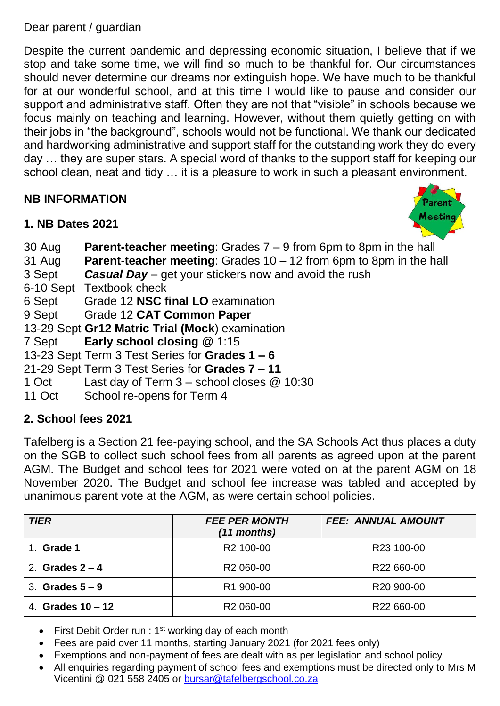Dear parent / guardian

Despite the current pandemic and depressing economic situation, I believe that if we stop and take some time, we will find so much to be thankful for. Our circumstances should never determine our dreams nor extinguish hope. We have much to be thankful for at our wonderful school, and at this time I would like to pause and consider our support and administrative staff. Often they are not that "visible" in schools because we focus mainly on teaching and learning. However, without them quietly getting on with their jobs in "the background", schools would not be functional. We thank our dedicated and hardworking administrative and support staff for the outstanding work they do every day … they are super stars. A special word of thanks to the support staff for keeping our school clean, neat and tidy … it is a pleasure to work in such a pleasant environment.

## **NB INFORMATION**



## **1. NB Dates 2021**

30 Aug **Parent-teacher meeting**: Grades 7 – 9 from 6pm to 8pm in the hall

31 Aug **Parent-teacher meeting**: Grades 10 – 12 from 6pm to 8pm in the hall

- 3 Sept *Casual Day* get your stickers now and avoid the rush
- 6-10 Sept Textbook check
- 6 Sept Grade 12 **NSC final LO** examination

9 Sept Grade 12 **CAT Common Paper**

13-29 Sept **Gr12 Matric Trial (Mock**) examination

7 Sept **Early school closing** @ 1:15

13-23 Sept Term 3 Test Series for **Grades 1 – 6**

21-29 Sept Term 3 Test Series for **Grades 7 – 11**

- 1 Oct Last day of Term 3 school closes @ 10:30
- 11 Oct School re-opens for Term 4

# **2. School fees 2021**

Tafelberg is a Section 21 fee-paying school, and the SA Schools Act thus places a duty on the SGB to collect such school fees from all parents as agreed upon at the parent AGM. The Budget and school fees for 2021 were voted on at the parent AGM on 18 November 2020. The Budget and school fee increase was tabled and accepted by unanimous parent vote at the AGM, as were certain school policies.

| <b>TIER</b>         | <b>FEE PER MONTH</b><br>$(11$ months) | <b>FEE: ANNUAL AMOUNT</b> |
|---------------------|---------------------------------------|---------------------------|
| Grade 1             | R <sub>2</sub> 100-00                 | R <sub>23</sub> 100-00    |
| 2. Grades $2 - 4$   | R <sub>2</sub> 060-00                 | R22 660-00                |
| 3. Grades $5-9$     | R1 900-00                             | R <sub>20</sub> 900-00    |
| 4. Grades $10 - 12$ | R <sub>2</sub> 060-00                 | R22 660-00                |

- First Debit Order run : 1<sup>st</sup> working day of each month
- Fees are paid over 11 months, starting January 2021 (for 2021 fees only)
- Exemptions and non-payment of fees are dealt with as per legislation and school policy
- All enquiries regarding payment of school fees and exemptions must be directed only to Mrs M Vicentini @ 021 558 2405 or [bursar@tafelbergschool.co.za](mailto:bursar@tafelbergschool.co.za)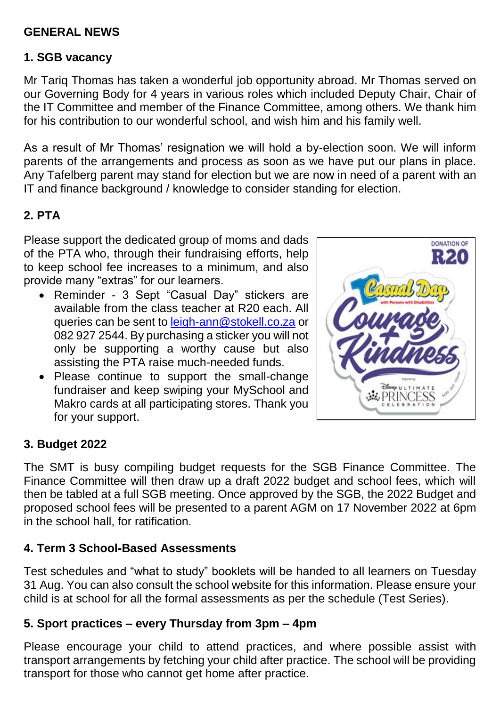#### **GENERAL NEWS**

#### **1. SGB vacancy**

Mr Tariq Thomas has taken a wonderful job opportunity abroad. Mr Thomas served on our Governing Body for 4 years in various roles which included Deputy Chair, Chair of the IT Committee and member of the Finance Committee, among others. We thank him for his contribution to our wonderful school, and wish him and his family well.

As a result of Mr Thomas' resignation we will hold a by-election soon. We will inform parents of the arrangements and process as soon as we have put our plans in place. Any Tafelberg parent may stand for election but we are now in need of a parent with an IT and finance background / knowledge to consider standing for election.

## **2. PTA**

Please support the dedicated group of moms and dads of the PTA who, through their fundraising efforts, help to keep school fee increases to a minimum, and also provide many "extras" for our learners.

- Reminder 3 Sept "Casual Day" stickers are available from the class teacher at R20 each. All queries can be sent to [leigh-ann@stokell.co.za](mailto:leigh-ann@stokell.co.za) or 082 927 2544. By purchasing a sticker you will not only be supporting a worthy cause but also assisting the PTA raise much-needed funds.
- Please continue to support the small-change fundraiser and keep swiping your MySchool and Makro cards at all participating stores. Thank you for your support.



#### **3. Budget 2022**

The SMT is busy compiling budget requests for the SGB Finance Committee. The Finance Committee will then draw up a draft 2022 budget and school fees, which will then be tabled at a full SGB meeting. Once approved by the SGB, the 2022 Budget and proposed school fees will be presented to a parent AGM on 17 November 2022 at 6pm in the school hall, for ratification.

#### **4. Term 3 School-Based Assessments**

Test schedules and "what to study" booklets will be handed to all learners on Tuesday 31 Aug. You can also consult the school website for this information. Please ensure your child is at school for all the formal assessments as per the schedule (Test Series).

#### **5. Sport practices – every Thursday from 3pm – 4pm**

Please encourage your child to attend practices, and where possible assist with transport arrangements by fetching your child after practice. The school will be providing transport for those who cannot get home after practice.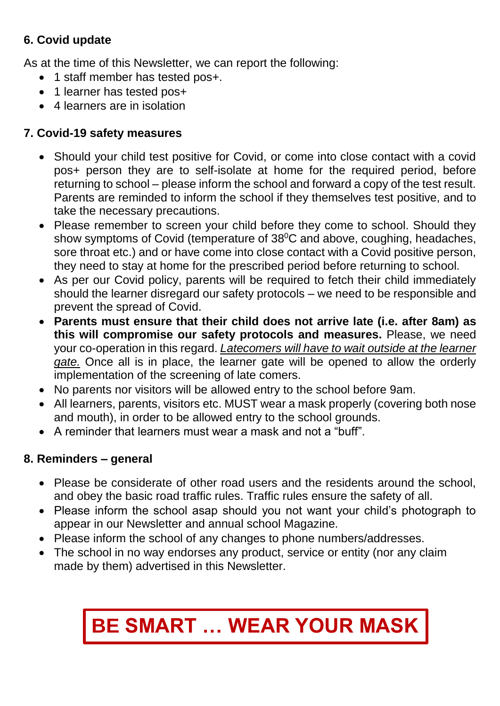# **6. Covid update**

As at the time of this Newsletter, we can report the following:

- 1 staff member has tested pos+.
- 1 learner has tested pos+
- 4 learners are in isolation

## **7. Covid-19 safety measures**

- Should your child test positive for Covid, or come into close contact with a covid pos+ person they are to self-isolate at home for the required period, before returning to school – please inform the school and forward a copy of the test result. Parents are reminded to inform the school if they themselves test positive, and to take the necessary precautions.
- Please remember to screen your child before they come to school. Should they show symptoms of Covid (temperature of 38<sup>°</sup>C and above, coughing, headaches, sore throat etc.) and or have come into close contact with a Covid positive person, they need to stay at home for the prescribed period before returning to school.
- As per our Covid policy, parents will be required to fetch their child immediately should the learner disregard our safety protocols – we need to be responsible and prevent the spread of Covid.
- **Parents must ensure that their child does not arrive late (i.e. after 8am) as this will compromise our safety protocols and measures.** Please, we need your co-operation in this regard. *Latecomers will have to wait outside at the learner gate.* Once all is in place, the learner gate will be opened to allow the orderly implementation of the screening of late comers.
- No parents nor visitors will be allowed entry to the school before 9am.
- All learners, parents, visitors etc. MUST wear a mask properly (covering both nose and mouth), in order to be allowed entry to the school grounds.
- A reminder that learners must wear a mask and not a "buff".

## **8. Reminders – general**

- Please be considerate of other road users and the residents around the school, and obey the basic road traffic rules. Traffic rules ensure the safety of all.
- Please inform the school asap should you not want your child's photograph to appear in our Newsletter and annual school Magazine.
- Please inform the school of any changes to phone numbers/addresses.
- The school in no way endorses any product, service or entity (nor any claim made by them) advertised in this Newsletter.

# **BE SMART … WEAR YOUR MASK**